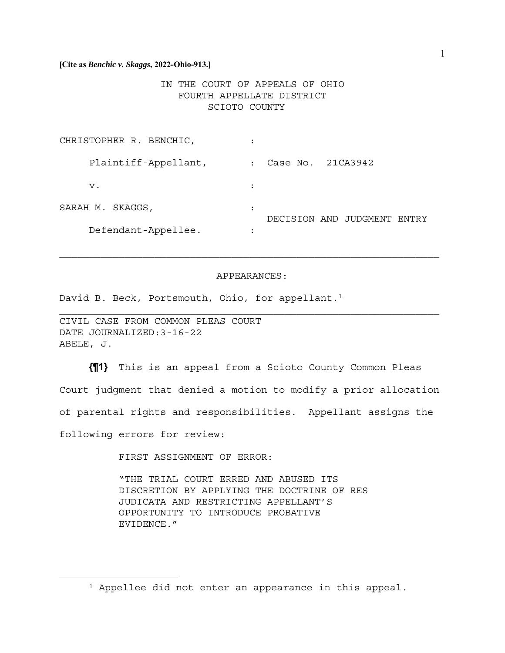## IN THE COURT OF APPEALS OF OHIO FOURTH APPELLATE DISTRICT SCIOTO COUNTY

| CHRISTOPHER R. BENCHIC, |                                             |
|-------------------------|---------------------------------------------|
| Plaintiff-Appellant,    | Case No. 21CA3942<br>$\ddot{\cdot}$         |
| v.                      | :                                           |
| SARAH M. SKAGGS,        | $\bullet$<br>DECISION AND JUDGMENT<br>FNTRY |
| Defendant-Appellee.     |                                             |

#### APPEARANCES:

David B. Beck, Portsmouth, Ohio, for appellant.<sup>1</sup>

CIVIL CASE FROM COMMON PLEAS COURT DATE JOURNALIZED:3-16-22 ABELE, J.

**{¶1}** This is an appeal from a Scioto County Common Pleas Court judgment that denied a motion to modify a prior allocation of parental rights and responsibilities. Appellant assigns the following errors for review:

FIRST ASSIGNMENT OF ERROR:

"THE TRIAL COURT ERRED AND ABUSED ITS DISCRETION BY APPLYING THE DOCTRINE OF RES JUDICATA AND RESTRICTING APPELLANT'S OPPORTUNITY TO INTRODUCE PROBATIVE EVIDENCE."

<sup>1</sup> Appellee did not enter an appearance in this appeal.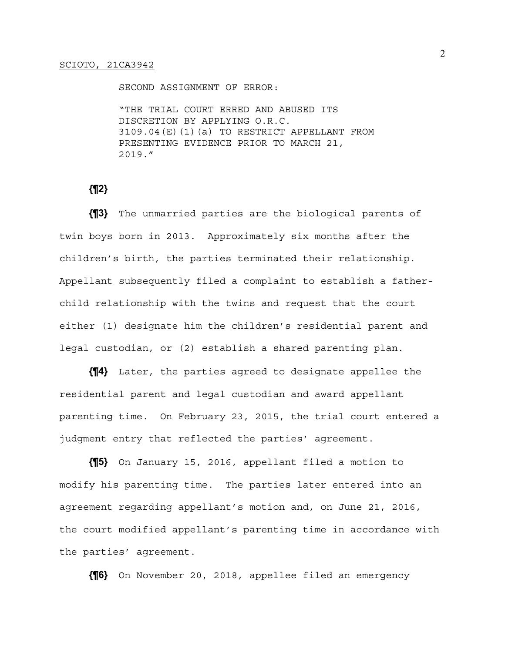SECOND ASSIGNMENT OF ERROR:

"THE TRIAL COURT ERRED AND ABUSED ITS DISCRETION BY APPLYING O.R.C. 3109.04(E)(1)(a) TO RESTRICT APPELLANT FROM PRESENTING EVIDENCE PRIOR TO MARCH 21, 2019."

**{¶2}** 

**{¶3}** The unmarried parties are the biological parents of twin boys born in 2013. Approximately six months after the children's birth, the parties terminated their relationship. Appellant subsequently filed a complaint to establish a fatherchild relationship with the twins and request that the court either (1) designate him the children's residential parent and legal custodian, or (2) establish a shared parenting plan.

**{¶4}** Later, the parties agreed to designate appellee the residential parent and legal custodian and award appellant parenting time. On February 23, 2015, the trial court entered a judgment entry that reflected the parties' agreement.

**{¶5}** On January 15, 2016, appellant filed a motion to modify his parenting time. The parties later entered into an agreement regarding appellant's motion and, on June 21, 2016, the court modified appellant's parenting time in accordance with the parties' agreement.

**{¶6}** On November 20, 2018, appellee filed an emergency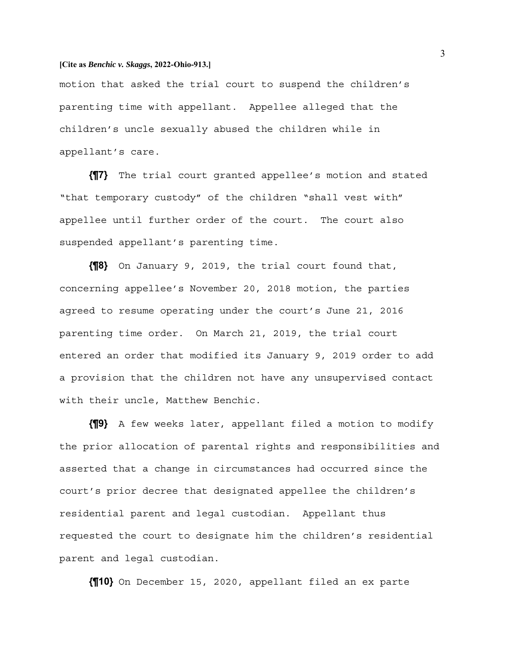motion that asked the trial court to suspend the children's parenting time with appellant. Appellee alleged that the children's uncle sexually abused the children while in appellant's care.

**{¶7}** The trial court granted appellee's motion and stated "that temporary custody" of the children "shall vest with" appellee until further order of the court. The court also suspended appellant's parenting time.

**{¶8}** On January 9, 2019, the trial court found that, concerning appellee's November 20, 2018 motion, the parties agreed to resume operating under the court's June 21, 2016 parenting time order. On March 21, 2019, the trial court entered an order that modified its January 9, 2019 order to add a provision that the children not have any unsupervised contact with their uncle, Matthew Benchic.

**{¶9}** A few weeks later, appellant filed a motion to modify the prior allocation of parental rights and responsibilities and asserted that a change in circumstances had occurred since the court's prior decree that designated appellee the children's residential parent and legal custodian. Appellant thus requested the court to designate him the children's residential parent and legal custodian.

**{¶10}** On December 15, 2020, appellant filed an ex parte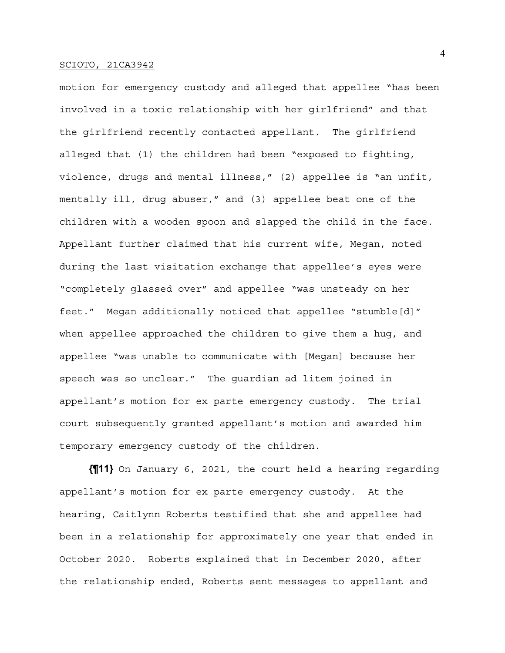motion for emergency custody and alleged that appellee "has been involved in a toxic relationship with her girlfriend" and that the girlfriend recently contacted appellant. The girlfriend alleged that (1) the children had been "exposed to fighting, violence, drugs and mental illness," (2) appellee is "an unfit, mentally ill, drug abuser," and (3) appellee beat one of the children with a wooden spoon and slapped the child in the face. Appellant further claimed that his current wife, Megan, noted during the last visitation exchange that appellee's eyes were "completely glassed over" and appellee "was unsteady on her feet." Megan additionally noticed that appellee "stumble[d]" when appellee approached the children to give them a hug, and appellee "was unable to communicate with [Megan] because her speech was so unclear." The guardian ad litem joined in appellant's motion for ex parte emergency custody. The trial court subsequently granted appellant's motion and awarded him temporary emergency custody of the children.

**{¶11}** On January 6, 2021, the court held a hearing regarding appellant's motion for ex parte emergency custody. At the hearing, Caitlynn Roberts testified that she and appellee had been in a relationship for approximately one year that ended in October 2020. Roberts explained that in December 2020, after the relationship ended, Roberts sent messages to appellant and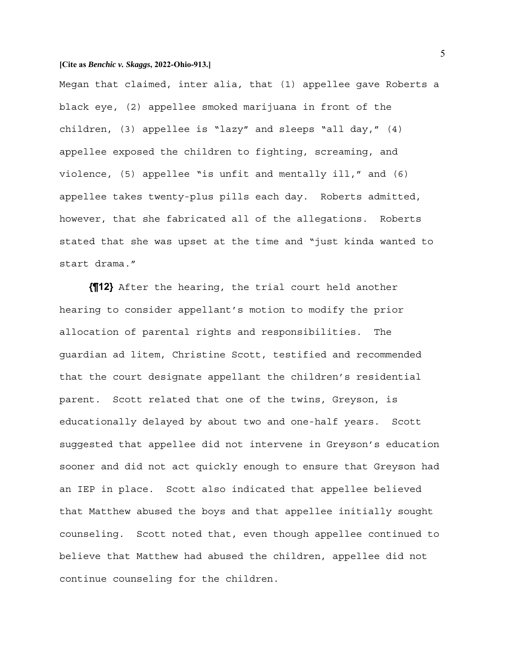Megan that claimed, inter alia, that (1) appellee gave Roberts a black eye, (2) appellee smoked marijuana in front of the children, (3) appellee is "lazy" and sleeps "all day," (4) appellee exposed the children to fighting, screaming, and violence, (5) appellee "is unfit and mentally ill," and (6) appellee takes twenty-plus pills each day. Roberts admitted, however, that she fabricated all of the allegations. Roberts stated that she was upset at the time and "just kinda wanted to start drama."

**{¶12}** After the hearing, the trial court held another hearing to consider appellant's motion to modify the prior allocation of parental rights and responsibilities. The guardian ad litem, Christine Scott, testified and recommended that the court designate appellant the children's residential parent. Scott related that one of the twins, Greyson, is educationally delayed by about two and one-half years. Scott suggested that appellee did not intervene in Greyson's education sooner and did not act quickly enough to ensure that Greyson had an IEP in place. Scott also indicated that appellee believed that Matthew abused the boys and that appellee initially sought counseling. Scott noted that, even though appellee continued to believe that Matthew had abused the children, appellee did not continue counseling for the children.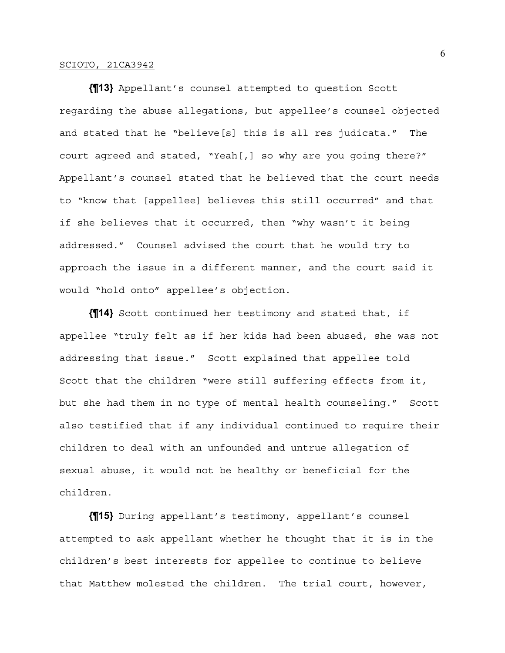**{¶13}** Appellant's counsel attempted to question Scott regarding the abuse allegations, but appellee's counsel objected and stated that he "believe[s] this is all res judicata." The court agreed and stated, "Yeah[,] so why are you going there?" Appellant's counsel stated that he believed that the court needs to "know that [appellee] believes this still occurred" and that if she believes that it occurred, then "why wasn't it being addressed." Counsel advised the court that he would try to approach the issue in a different manner, and the court said it would "hold onto" appellee's objection.

**{¶14}** Scott continued her testimony and stated that, if appellee "truly felt as if her kids had been abused, she was not addressing that issue." Scott explained that appellee told Scott that the children "were still suffering effects from it, but she had them in no type of mental health counseling." Scott also testified that if any individual continued to require their children to deal with an unfounded and untrue allegation of sexual abuse, it would not be healthy or beneficial for the children.

**{¶15}** During appellant's testimony, appellant's counsel attempted to ask appellant whether he thought that it is in the children's best interests for appellee to continue to believe that Matthew molested the children. The trial court, however,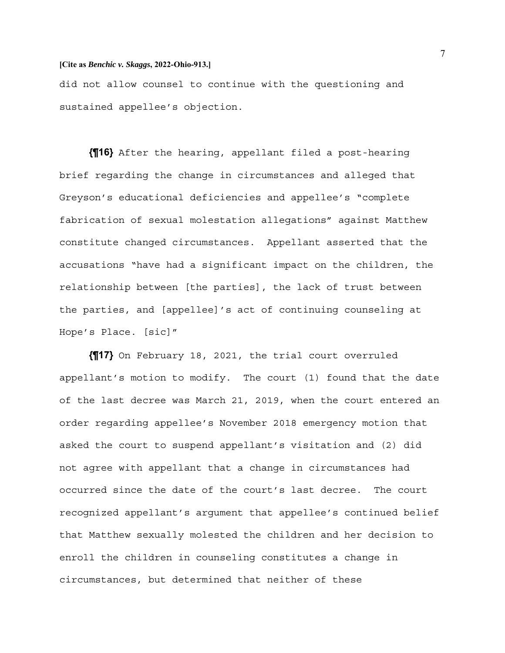did not allow counsel to continue with the questioning and sustained appellee's objection.

**{¶16}** After the hearing, appellant filed a post-hearing brief regarding the change in circumstances and alleged that Greyson's educational deficiencies and appellee's "complete fabrication of sexual molestation allegations" against Matthew constitute changed circumstances. Appellant asserted that the accusations "have had a significant impact on the children, the relationship between [the parties], the lack of trust between the parties, and [appellee]'s act of continuing counseling at Hope's Place. [sic]"

**{¶17}** On February 18, 2021, the trial court overruled appellant's motion to modify. The court (1) found that the date of the last decree was March 21, 2019, when the court entered an order regarding appellee's November 2018 emergency motion that asked the court to suspend appellant's visitation and (2) did not agree with appellant that a change in circumstances had occurred since the date of the court's last decree. The court recognized appellant's argument that appellee's continued belief that Matthew sexually molested the children and her decision to enroll the children in counseling constitutes a change in circumstances, but determined that neither of these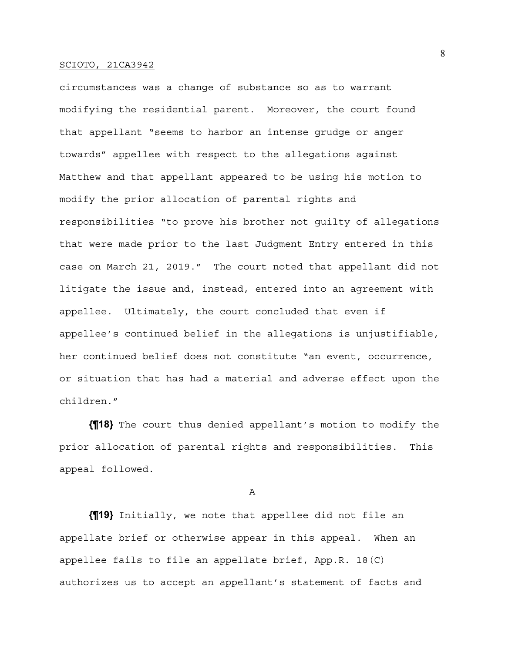circumstances was a change of substance so as to warrant modifying the residential parent. Moreover, the court found that appellant "seems to harbor an intense grudge or anger towards" appellee with respect to the allegations against Matthew and that appellant appeared to be using his motion to modify the prior allocation of parental rights and responsibilities "to prove his brother not guilty of allegations that were made prior to the last Judgment Entry entered in this case on March 21, 2019." The court noted that appellant did not litigate the issue and, instead, entered into an agreement with appellee. Ultimately, the court concluded that even if appellee's continued belief in the allegations is unjustifiable, her continued belief does not constitute "an event, occurrence, or situation that has had a material and adverse effect upon the children."

**{¶18}** The court thus denied appellant's motion to modify the prior allocation of parental rights and responsibilities. This appeal followed.

A

**{¶19}** Initially, we note that appellee did not file an appellate brief or otherwise appear in this appeal. When an appellee fails to file an appellate brief, App.R. 18(C) authorizes us to accept an appellant's statement of facts and 8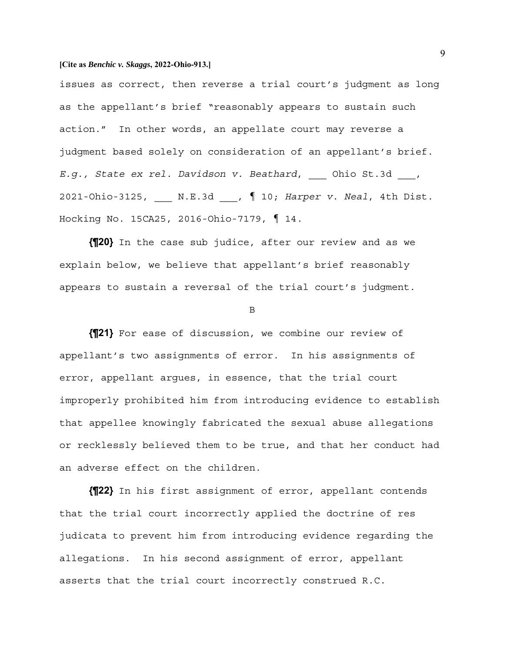issues as correct, then reverse a trial court's judgment as long as the appellant's brief "reasonably appears to sustain such action." In other words, an appellate court may reverse a judgment based solely on consideration of an appellant's brief. *E.g., State ex rel. Davidson v. Beathard*, \_\_\_ Ohio St.3d \_\_\_, 2021-Ohio-3125, \_\_\_ N.E.3d \_\_\_, ¶ 10; *Harper v. Neal*, 4th Dist. Hocking No. 15CA25, 2016-Ohio-7179, ¶ 14.

**{¶20}** In the case sub judice, after our review and as we explain below, we believe that appellant's brief reasonably appears to sustain a reversal of the trial court's judgment.

B

**{¶21}** For ease of discussion, we combine our review of appellant's two assignments of error. In his assignments of error, appellant argues, in essence, that the trial court improperly prohibited him from introducing evidence to establish that appellee knowingly fabricated the sexual abuse allegations or recklessly believed them to be true, and that her conduct had an adverse effect on the children.

**{¶22}** In his first assignment of error, appellant contends that the trial court incorrectly applied the doctrine of res judicata to prevent him from introducing evidence regarding the allegations. In his second assignment of error, appellant asserts that the trial court incorrectly construed R.C.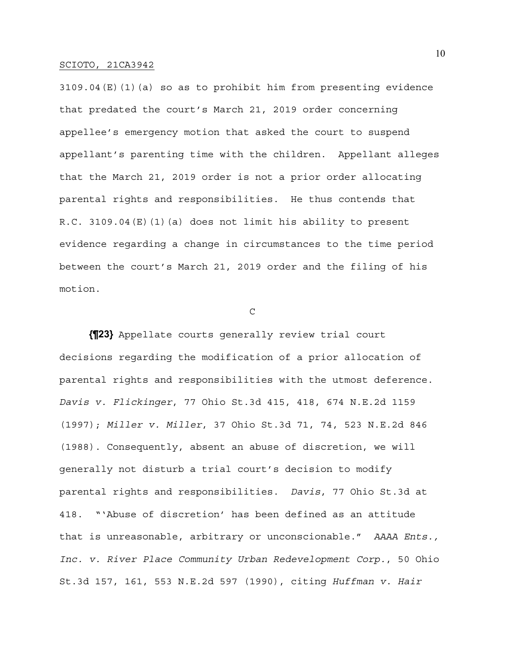3109.04(E)(1)(a) so as to prohibit him from presenting evidence that predated the court's March 21, 2019 order concerning appellee's emergency motion that asked the court to suspend appellant's parenting time with the children. Appellant alleges that the March 21, 2019 order is not a prior order allocating parental rights and responsibilities. He thus contends that R.C. 3109.04(E)(1)(a) does not limit his ability to present evidence regarding a change in circumstances to the time period between the court's March 21, 2019 order and the filing of his motion.

 $\mathcal{C}$ 

**{¶23}** Appellate courts generally review trial court decisions regarding the modification of a prior allocation of parental rights and responsibilities with the utmost deference. *Davis v. Flickinger*, 77 Ohio St.3d 415, 418, 674 N.E.2d 1159 (1997); *Miller v. Miller*, 37 Ohio St.3d 71, 74, 523 N.E.2d 846 (1988). Consequently, absent an abuse of discretion, we will generally not disturb a trial court's decision to modify parental rights and responsibilities. *Davis*, 77 Ohio St.3d at 418. "'Abuse of discretion' has been defined as an attitude that is unreasonable, arbitrary or unconscionable." *AAAA Ents., Inc. v. River Place Community Urban Redevelopment Corp.*, 50 Ohio St.3d 157, 161, 553 N.E.2d 597 (1990), citing *Huffman v. Hair*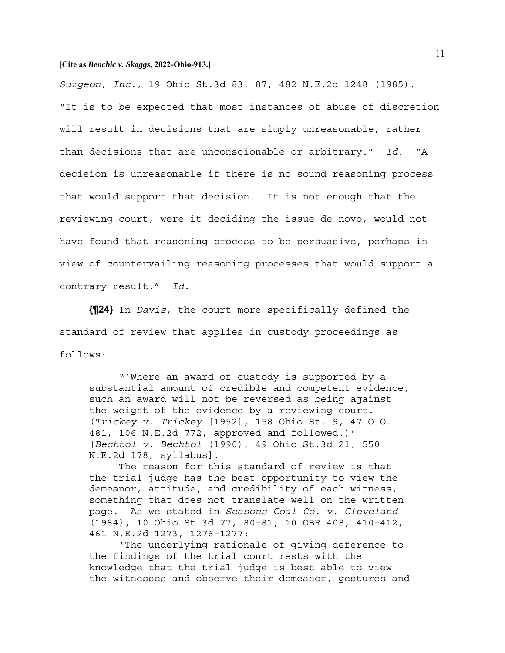*Surgeon, Inc.*, 19 Ohio St.3d 83, 87, 482 N.E.2d 1248 (1985). "It is to be expected that most instances of abuse of discretion will result in decisions that are simply unreasonable, rather than decisions that are unconscionable or arbitrary." *Id.* "A decision is unreasonable if there is no sound reasoning process that would support that decision. It is not enough that the reviewing court, were it deciding the issue de novo, would not have found that reasoning process to be persuasive, perhaps in view of countervailing reasoning processes that would support a contrary result." *Id.*

**{¶24}** In *Davis*, the court more specifically defined the standard of review that applies in custody proceedings as follows:

 "'Where an award of custody is supported by a substantial amount of credible and competent evidence, such an award will not be reversed as being against the weight of the evidence by a reviewing court. (*Trickey v. Trickey* [1952], 158 Ohio St. 9, 47 O.O. 481, 106 N.E.2d 772, approved and followed.)' [*Bechtol v. Bechtol* (1990), 49 Ohio St.3d 21, 550 N.E.2d 178, syllabus].

 The reason for this standard of review is that the trial judge has the best opportunity to view the demeanor, attitude, and credibility of each witness, something that does not translate well on the written page. As we stated in *Seasons Coal Co. v. Cleveland*  (1984), 10 Ohio St.3d 77, 80–81, 10 OBR 408, 410–412, 461 N.E.2d 1273, 1276–1277:

 'The underlying rationale of giving deference to the findings of the trial court rests with the knowledge that the trial judge is best able to view the witnesses and observe their demeanor, gestures and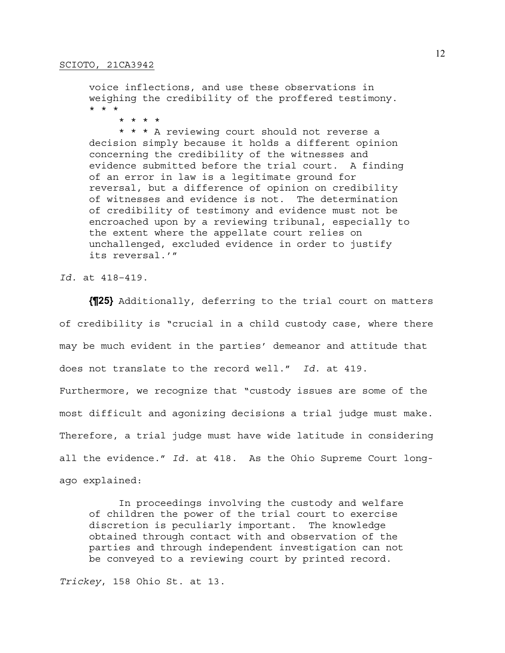voice inflections, and use these observations in weighing the credibility of the proffered testimony. \* \* \*

\* \* \* \*

 \* \* \* A reviewing court should not reverse a decision simply because it holds a different opinion concerning the credibility of the witnesses and evidence submitted before the trial court. A finding of an error in law is a legitimate ground for reversal, but a difference of opinion on credibility of witnesses and evidence is not. The determination of credibility of testimony and evidence must not be encroached upon by a reviewing tribunal, especially to the extent where the appellate court relies on unchallenged, excluded evidence in order to justify its reversal.'"

*Id.* at 418–419.

**{¶25}** Additionally, deferring to the trial court on matters of credibility is "crucial in a child custody case, where there may be much evident in the parties' demeanor and attitude that does not translate to the record well." *Id.* at 419. Furthermore, we recognize that "custody issues are some of the most difficult and agonizing decisions a trial judge must make. Therefore, a trial judge must have wide latitude in considering all the evidence." *Id.* at 418. As the Ohio Supreme Court longago explained:

 In proceedings involving the custody and welfare of children the power of the trial court to exercise discretion is peculiarly important. The knowledge obtained through contact with and observation of the parties and through independent investigation can not be conveyed to a reviewing court by printed record.

*Trickey*, 158 Ohio St. at 13.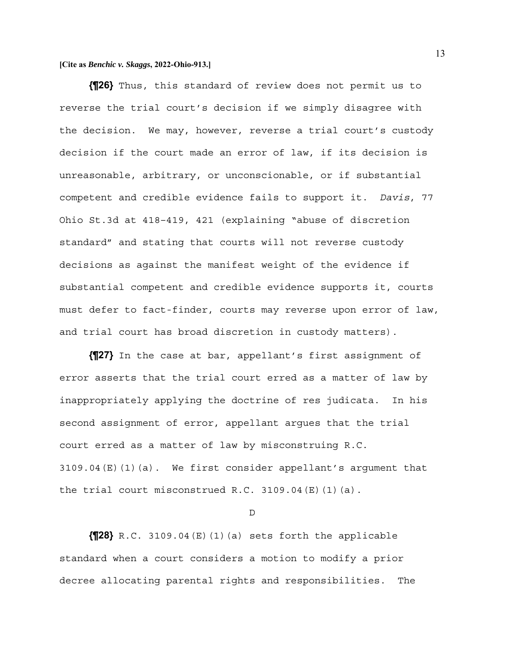**{¶26}** Thus, this standard of review does not permit us to reverse the trial court's decision if we simply disagree with the decision. We may, however, reverse a trial court's custody decision if the court made an error of law, if its decision is unreasonable, arbitrary, or unconscionable, or if substantial competent and credible evidence fails to support it. *Davis*, 77 Ohio St.3d at 418–419, 421 (explaining "abuse of discretion standard" and stating that courts will not reverse custody decisions as against the manifest weight of the evidence if substantial competent and credible evidence supports it, courts must defer to fact-finder, courts may reverse upon error of law, and trial court has broad discretion in custody matters).

**{¶27}** In the case at bar, appellant's first assignment of error asserts that the trial court erred as a matter of law by inappropriately applying the doctrine of res judicata. In his second assignment of error, appellant argues that the trial court erred as a matter of law by misconstruing R.C. 3109.04(E)(1)(a). We first consider appellant's argument that the trial court misconstrued R.C. 3109.04 $(E)$ (1)(a).

D

 $\left\{ \textsf{N28} \right\}$  R.C. 3109.04 (E)(1)(a) sets forth the applicable standard when a court considers a motion to modify a prior decree allocating parental rights and responsibilities. The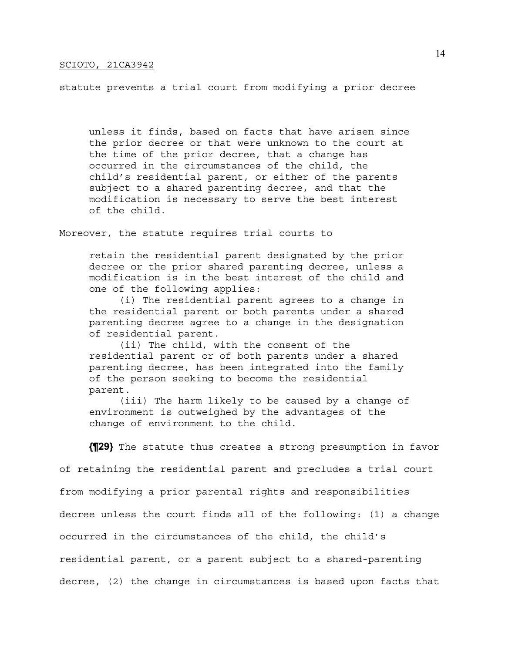statute prevents a trial court from modifying a prior decree

unless it finds, based on facts that have arisen since the prior decree or that were unknown to the court at the time of the prior decree, that a change has occurred in the circumstances of the child, the child's residential parent, or either of the parents subject to a shared parenting decree, and that the modification is necessary to serve the best interest of the child.

Moreover, the statute requires trial courts to

retain the residential parent designated by the prior decree or the prior shared parenting decree, unless a modification is in the best interest of the child and one of the following applies:

 (i) The residential parent agrees to a change in the residential parent or both parents under a shared parenting decree agree to a change in the designation of residential parent.

 (ii) The child, with the consent of the residential parent or of both parents under a shared parenting decree, has been integrated into the family of the person seeking to become the residential parent.

 (iii) The harm likely to be caused by a change of environment is outweighed by the advantages of the change of environment to the child.

**{¶29}** The statute thus creates a strong presumption in favor

of retaining the residential parent and precludes a trial court

from modifying a prior parental rights and responsibilities

decree unless the court finds all of the following: (1) a change

occurred in the circumstances of the child, the child's

residential parent, or a parent subject to a shared-parenting

decree, (2) the change in circumstances is based upon facts that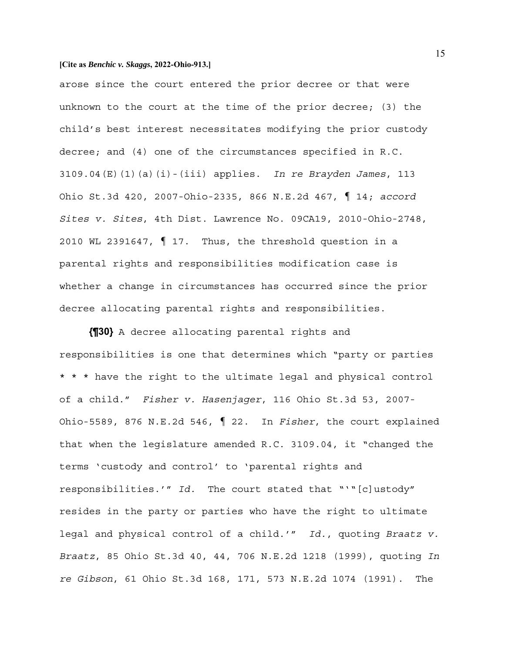arose since the court entered the prior decree or that were unknown to the court at the time of the prior decree; (3) the child's best interest necessitates modifying the prior custody decree; and (4) one of the circumstances specified in R.C. 3109.04(E)(1)(a)(i)-(iii) applies. *In re Brayden James*, 113 Ohio St.3d 420, 2007-Ohio-2335, 866 N.E.2d 467, ¶ 14; *accord Sites v. Sites*, 4th Dist. Lawrence No. 09CA19, 2010-Ohio-2748, 2010 WL 2391647, ¶ 17. Thus, the threshold question in a parental rights and responsibilities modification case is whether a change in circumstances has occurred since the prior decree allocating parental rights and responsibilities.

**{¶30}** A decree allocating parental rights and responsibilities is one that determines which "party or parties \* \* \* have the right to the ultimate legal and physical control of a child." *Fisher v. Hasenjager*, 116 Ohio St.3d 53, 2007- Ohio-5589, 876 N.E.2d 546, ¶ 22. In *Fisher*, the court explained that when the legislature amended R.C. 3109.04, it "changed the terms 'custody and control' to 'parental rights and responsibilities.'" *Id.* The court stated that "'"[c]ustody" resides in the party or parties who have the right to ultimate legal and physical control of a child.'" *Id.*, quoting *Braatz v. Braatz*, 85 Ohio St.3d 40, 44, 706 N.E.2d 1218 (1999), quoting *In re Gibson*, 61 Ohio St.3d 168, 171, 573 N.E.2d 1074 (1991). The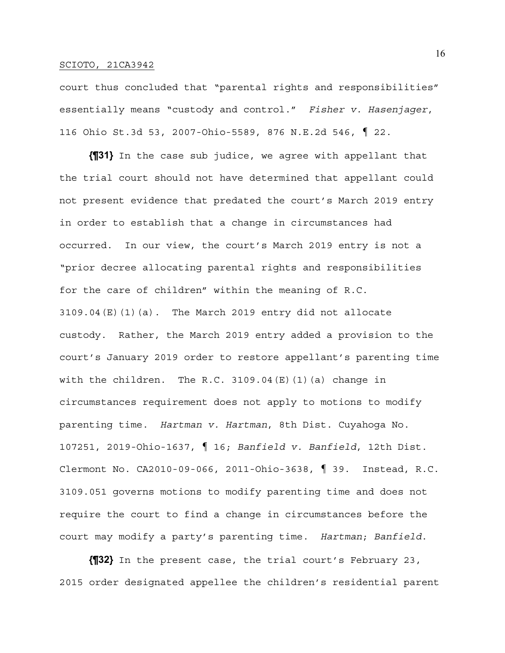court thus concluded that "parental rights and responsibilities" essentially means "custody and control." *Fisher v. Hasenjager*, 116 Ohio St.3d 53, 2007-Ohio-5589, 876 N.E.2d 546, ¶ 22.

**{¶31}** In the case sub judice, we agree with appellant that the trial court should not have determined that appellant could not present evidence that predated the court's March 2019 entry in order to establish that a change in circumstances had occurred. In our view, the court's March 2019 entry is not a "prior decree allocating parental rights and responsibilities for the care of children" within the meaning of R.C. 3109.04(E)(1)(a). The March 2019 entry did not allocate custody. Rather, the March 2019 entry added a provision to the court's January 2019 order to restore appellant's parenting time with the children. The R.C. 3109.04  $(E)$  (1) (a) change in circumstances requirement does not apply to motions to modify parenting time. *Hartman v. Hartman*, 8th Dist. Cuyahoga No. 107251, 2019-Ohio-1637, ¶ 16; *Banfield v. Banfield*, 12th Dist. Clermont No. CA2010-09-066, 2011-Ohio-3638, ¶ 39. Instead, R.C. 3109.051 governs motions to modify parenting time and does not require the court to find a change in circumstances before the court may modify a party's parenting time. *Hartman*; *Banfield*.

**{¶32}** In the present case, the trial court's February 23, 2015 order designated appellee the children's residential parent

16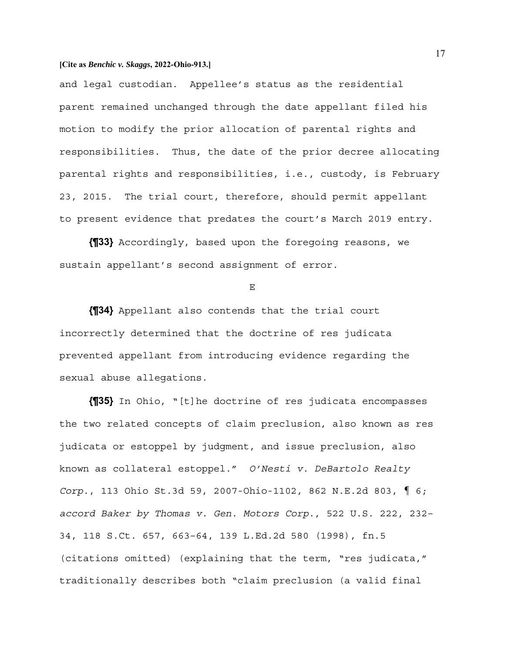and legal custodian. Appellee's status as the residential parent remained unchanged through the date appellant filed his motion to modify the prior allocation of parental rights and responsibilities. Thus, the date of the prior decree allocating parental rights and responsibilities, i.e., custody, is February 23, 2015. The trial court, therefore, should permit appellant to present evidence that predates the court's March 2019 entry.

**{¶33}** Accordingly, based upon the foregoing reasons, we sustain appellant's second assignment of error.

E

**{¶34}** Appellant also contends that the trial court incorrectly determined that the doctrine of res judicata prevented appellant from introducing evidence regarding the sexual abuse allegations.

**{¶35}** In Ohio, "[t]he doctrine of res judicata encompasses the two related concepts of claim preclusion, also known as res judicata or estoppel by judgment, and issue preclusion, also known as collateral estoppel." *O'Nesti v. DeBartolo Realty Corp.*, 113 Ohio St.3d 59, 2007-Ohio-1102, 862 N.E.2d 803, ¶ 6; *accord Baker by Thomas v. Gen. Motors Corp.*, 522 U.S. 222, 232– 34, 118 S.Ct. 657, 663–64, 139 L.Ed.2d 580 (1998), fn.5 (citations omitted) (explaining that the term, "res judicata," traditionally describes both "claim preclusion (a valid final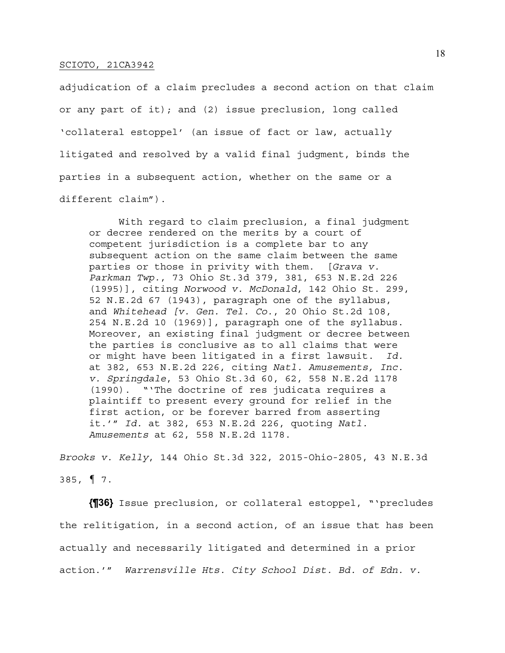adjudication of a claim precludes a second action on that claim or any part of it); and (2) issue preclusion, long called 'collateral estoppel' (an issue of fact or law, actually litigated and resolved by a valid final judgment, binds the parties in a subsequent action, whether on the same or a different claim").

 With regard to claim preclusion, a final judgment or decree rendered on the merits by a court of competent jurisdiction is a complete bar to any subsequent action on the same claim between the same parties or those in privity with them. [*Grava v. Parkman Twp.*, 73 Ohio St.3d 379, 381, 653 N.E.2d 226 (1995)], citing *Norwood v. McDonald*, 142 Ohio St. 299, 52 N.E.2d 67 (1943), paragraph one of the syllabus, and *Whitehead [v. Gen. Tel. Co.*, 20 Ohio St.2d 108, 254 N.E.2d 10 (1969)], paragraph one of the syllabus. Moreover, an existing final judgment or decree between the parties is conclusive as to all claims that were or might have been litigated in a first lawsuit. *Id.*  at 382, 653 N.E.2d 226, citing *Natl. Amusements, Inc. v. Springdale*, 53 Ohio St.3d 60, 62, 558 N.E.2d 1178 (1990). "'The doctrine of res judicata requires a plaintiff to present every ground for relief in the first action, or be forever barred from asserting it.'" *Id.* at 382, 653 N.E.2d 226, quoting *Natl. Amusements* at 62, 558 N.E.2d 1178.

*Brooks v. Kelly*, 144 Ohio St.3d 322, 2015-Ohio-2805, 43 N.E.3d 385, ¶ 7.

**{¶36}** Issue preclusion, or collateral estoppel, "'precludes the relitigation, in a second action, of an issue that has been actually and necessarily litigated and determined in a prior action.'" *Warrensville Hts. City School Dist. Bd. of Edn. v.*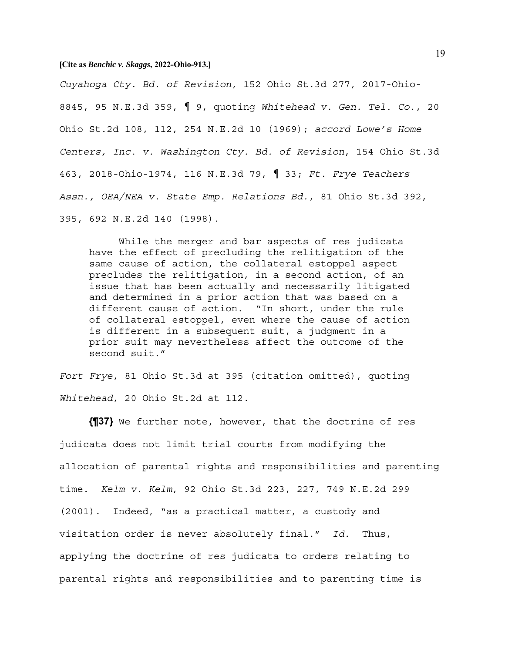*Cuyahoga Cty. Bd. of Revision*, 152 Ohio St.3d 277, 2017-Ohio-8845, 95 N.E.3d 359, ¶ 9, quoting *Whitehead v. Gen. Tel. Co.*, 20 Ohio St.2d 108, 112, 254 N.E.2d 10 (1969); *accord Lowe's Home Centers, Inc. v. Washington Cty. Bd. of Revision*, 154 Ohio St.3d 463, 2018-Ohio-1974, 116 N.E.3d 79, ¶ 33; *Ft. Frye Teachers Assn., OEA/NEA v. State Emp. Relations Bd.*, 81 Ohio St.3d 392, 395, 692 N.E.2d 140 (1998).

 While the merger and bar aspects of res judicata have the effect of precluding the relitigation of the same cause of action, the collateral estoppel aspect precludes the relitigation, in a second action, of an issue that has been actually and necessarily litigated and determined in a prior action that was based on a different cause of action. "In short, under the rule of collateral estoppel, even where the cause of action is different in a subsequent suit, a judgment in a prior suit may nevertheless affect the outcome of the second suit."

*Fort Frye*, 81 Ohio St.3d at 395 (citation omitted), quoting *Whitehead*, 20 Ohio St.2d at 112.

**{¶37}** We further note, however, that the doctrine of res judicata does not limit trial courts from modifying the allocation of parental rights and responsibilities and parenting time. *Kelm v. Kelm*, 92 Ohio St.3d 223, 227, 749 N.E.2d 299 (2001). Indeed, "as a practical matter, a custody and visitation order is never absolutely final." *Id.* Thus, applying the doctrine of res judicata to orders relating to parental rights and responsibilities and to parenting time is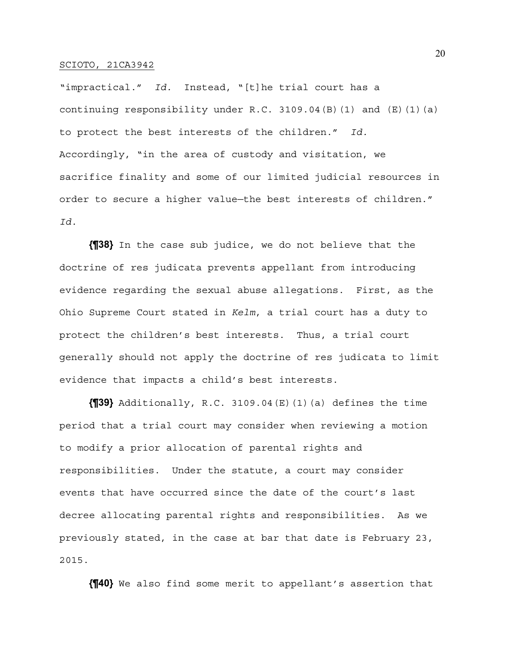"impractical." *Id.* Instead, "[t]he trial court has a continuing responsibility under R.C. 3109.04(B)(1) and  $(E)(1)(a)$ to protect the best interests of the children." *Id.* Accordingly, "in the area of custody and visitation, we sacrifice finality and some of our limited judicial resources in order to secure a higher value—the best interests of children." *Id.*

**{¶38}** In the case sub judice, we do not believe that the doctrine of res judicata prevents appellant from introducing evidence regarding the sexual abuse allegations. First, as the Ohio Supreme Court stated in *Kelm*, a trial court has a duty to protect the children's best interests. Thus, a trial court generally should not apply the doctrine of res judicata to limit evidence that impacts a child's best interests.

**{¶39}** Additionally, R.C. 3109.04(E)(1)(a) defines the time period that a trial court may consider when reviewing a motion to modify a prior allocation of parental rights and responsibilities. Under the statute, a court may consider events that have occurred since the date of the court's last decree allocating parental rights and responsibilities. As we previously stated, in the case at bar that date is February 23, 2015.

**{¶40}** We also find some merit to appellant's assertion that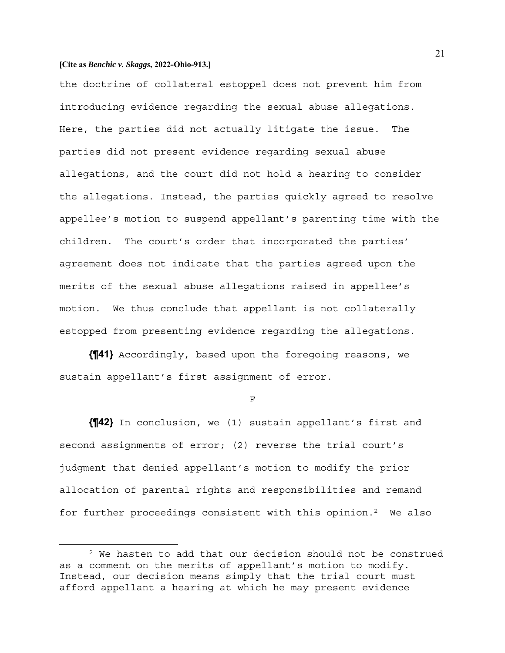the doctrine of collateral estoppel does not prevent him from introducing evidence regarding the sexual abuse allegations. Here, the parties did not actually litigate the issue. The parties did not present evidence regarding sexual abuse allegations, and the court did not hold a hearing to consider the allegations. Instead, the parties quickly agreed to resolve appellee's motion to suspend appellant's parenting time with the children. The court's order that incorporated the parties' agreement does not indicate that the parties agreed upon the merits of the sexual abuse allegations raised in appellee's motion. We thus conclude that appellant is not collaterally estopped from presenting evidence regarding the allegations.

**{¶41}** Accordingly, based upon the foregoing reasons, we sustain appellant's first assignment of error.

F

**{¶42}** In conclusion, we (1) sustain appellant's first and second assignments of error; (2) reverse the trial court's judgment that denied appellant's motion to modify the prior allocation of parental rights and responsibilities and remand for further proceedings consistent with this opinion.2 We also

<sup>2</sup> We hasten to add that our decision should not be construed as a comment on the merits of appellant's motion to modify. Instead, our decision means simply that the trial court must afford appellant a hearing at which he may present evidence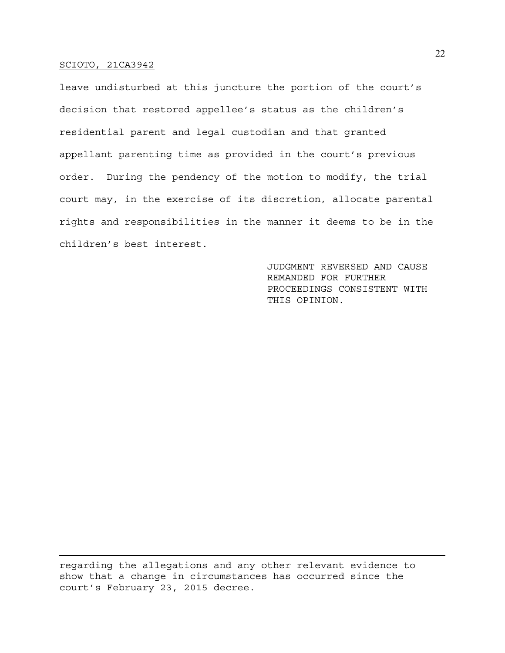leave undisturbed at this juncture the portion of the court's decision that restored appellee's status as the children's residential parent and legal custodian and that granted appellant parenting time as provided in the court's previous order. During the pendency of the motion to modify, the trial court may, in the exercise of its discretion, allocate parental rights and responsibilities in the manner it deems to be in the children's best interest.

> JUDGMENT REVERSED AND CAUSE REMANDED FOR FURTHER PROCEEDINGS CONSISTENT WITH THIS OPINION.

regarding the allegations and any other relevant evidence to show that a change in circumstances has occurred since the court's February 23, 2015 decree.